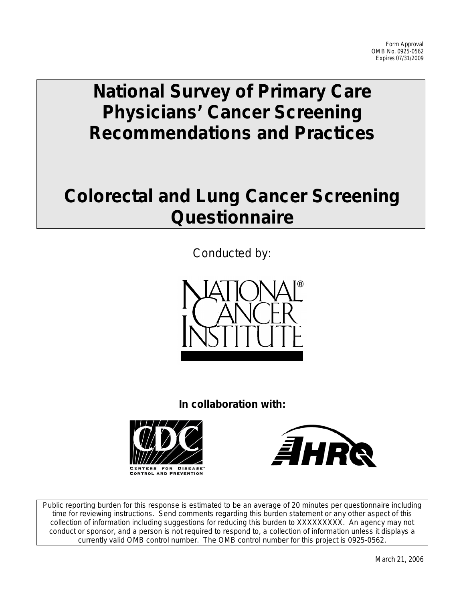# **National Survey of Primary Care Physicians' Cancer Screening Recommendations and Practices**

# **Colorectal and Lung Cancer Screening Questionnaire**

Conducted by:



**In collaboration with:**





Public reporting burden for this response is estimated to be an average of 20 minutes per questionnaire including time for reviewing instructions. Send comments regarding this burden statement or any other aspect of this collection of information including suggestions for reducing this burden to XXXXXXXXX. An agency may not conduct or sponsor, and a person is not required to respond to, a collection of information unless it displays a currently valid OMB control number. The OMB control number for this project is 0925-0562.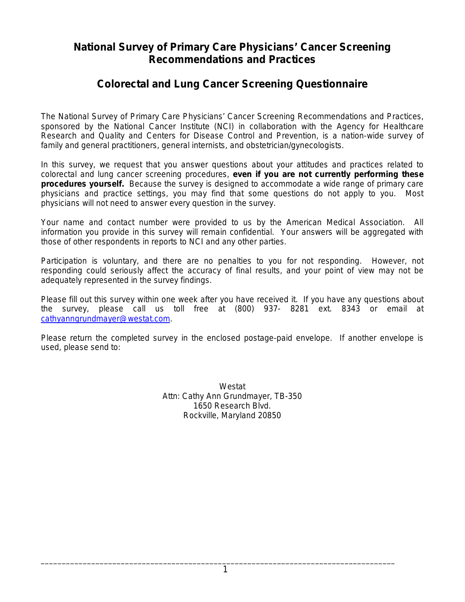# **National Survey of Primary Care Physicians' Cancer Screening Recommendations and Practices**

# **Colorectal and Lung Cancer Screening Questionnaire**

The National Survey of Primary Care Physicians' Cancer Screening Recommendations and Practices, sponsored by the National Cancer Institute (NCI) in collaboration with the Agency for Healthcare Research and Quality and Centers for Disease Control and Prevention, is a nation-wide survey of family and general practitioners, general internists, and obstetrician/gynecologists.

In this survey, we request that you answer questions about your attitudes and practices related to colorectal and lung cancer screening procedures, **even if you are not currently performing these procedures yourself.** Because the survey is designed to accommodate a wide range of primary care physicians and practice settings, you may find that some questions do not apply to you. Most physicians will not need to answer every question in the survey.

Your name and contact number were provided to us by the American Medical Association. All information you provide in this survey will remain confidential. Your answers will be aggregated with those of other respondents in reports to NCI and any other parties.

Participation is voluntary, and there are no penalties to you for not responding. However, not responding could seriously affect the accuracy of final results, and your point of view may not be adequately represented in the survey findings.

Please fill out this survey within one week after you have received it. If you have any questions about the survey, please call us toll free at (800) 937- 8281 ext. 8343 or email at [cathyanngrundmayer@westat.com.](mailto:allisonsullivan@westat.com)

Please return the completed survey in the enclosed postage-paid envelope. If another envelope is used, please send to:

> Westat Attn: Cathy Ann Grundmayer, TB-350 1650 Research Blvd. Rockville, Maryland 20850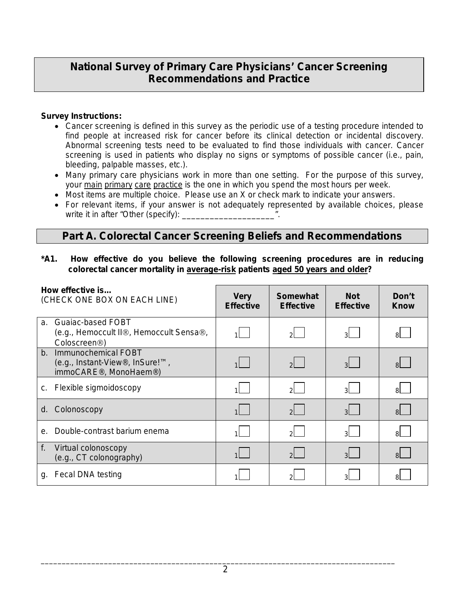# **National Survey of Primary Care Physicians' Cancer Screening Recommendations and Practice**

### **Survey Instructions:**

- Cancer screening is defined in this survey as the periodic use of a testing procedure intended to find people at increased risk for cancer before its clinical detection or incidental discovery. Abnormal screening tests need to be evaluated to find those individuals with cancer. Cancer screening is used in patients who display no signs or symptoms of possible cancer (i.e., pain, bleeding, palpable masses, etc.).
- Many primary care physicians work in more than one setting. For the purpose of this survey, your main primary care practice is the one in which you spend the most hours per week.
- Most items are multiple choice. Please use an X or check mark to indicate your answers.
- For relevant items, if your answer is not adequately represented by available choices, please write it in after "Other (specify):

## **Part A. Colorectal Cancer Screening Beliefs and Recommendations**

**\*A1. How effective do you believe the following screening procedures are in reducing colorectal cancer mortality in average-risk patients aged 50 years and older?** 

| How effective is<br>(CHECK ONE BOX ON EACH LINE) |                                                                                                           | <b>Very</b><br><b>Effective</b> | <b>Somewhat</b><br><b>Effective</b> | <b>Not</b><br><b>Effective</b> | Don't<br>Know  |
|--------------------------------------------------|-----------------------------------------------------------------------------------------------------------|---------------------------------|-------------------------------------|--------------------------------|----------------|
| a.                                               | Guaiac-based FOBT<br>(e.g., Hemoccult II®, Hemoccult Sensa®,<br>Coloscreen <sup>®</sup> )                 |                                 | 2L .                                | $3^{\vert}$                    | ЯL             |
| $b_{-}$                                          | Immunochemical FOBT<br>(e.g., Instant-View®, InSure!™,<br>immoCARE <sup>®</sup> , MonoHaem <sup>®</sup> ) |                                 | 2                                   | $\overline{3}$                 | $\mathsf{R}$   |
| C.                                               | Flexible sigmoidoscopy                                                                                    |                                 | 2L .                                | 3 <sup>1</sup>                 | 81.            |
| d.                                               | Colonoscopy                                                                                               |                                 | $2^{\vert}$                         | 3 <sup>1</sup>                 | 8 <sup>1</sup> |
| е.                                               | Double-contrast barium enema                                                                              |                                 | $\mathcal{D}$                       | 3 <sup>1</sup>                 | 8I -           |
| f.                                               | Virtual colonoscopy<br>(e.g., CT colonography)                                                            |                                 | $\overline{2}$                      | зI                             | 8 <sup>1</sup> |
| g.                                               | Fecal DNA testing                                                                                         |                                 |                                     |                                |                |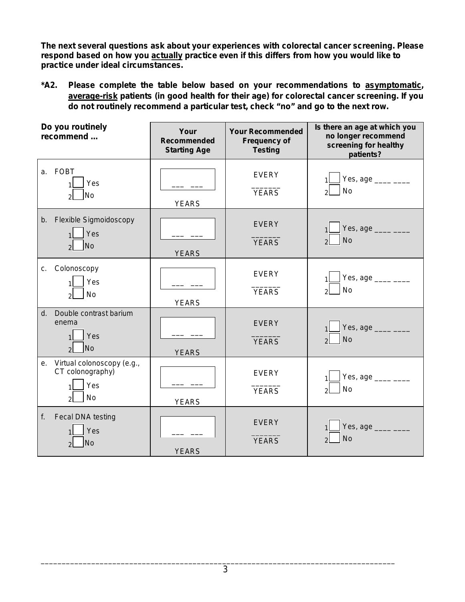*The next several questions ask about your experiences with colorectal cancer screening. Please respond based on how you actually practice even if this differs from how you would like to practice under ideal circumstances.*

**\*A2. Please complete the table below based on your recommendations to asymptomatic, average-risk patients (in good health for their age) for colorectal cancer screening. If you do not routinely recommend a particular test, check "no" and go to the next row.**

| Do you routinely<br>recommend |                                                                                  | Your<br><b>Recommended</b><br><b>Starting Age</b> | <b>Your Recommended</b><br><b>Frequency of</b><br><b>Testing</b> | Is there an age at which you<br>no longer recommend<br>screening for healthy<br>patients? |
|-------------------------------|----------------------------------------------------------------------------------|---------------------------------------------------|------------------------------------------------------------------|-------------------------------------------------------------------------------------------|
| a <sub>1</sub>                | <b>FOBT</b><br>Yes<br><b>No</b><br>$\mathcal{D}$                                 | <b>YEARS</b>                                      | <b>EVERY</b><br><b>YEARS</b>                                     | Yes, age $\frac{ }{ }$<br><b>No</b>                                                       |
| b.                            | <b>Flexible Sigmoidoscopy</b><br>Yes<br><b>No</b><br>$\overline{2}$              | <b>YEARS</b>                                      | <b>EVERY</b><br><b>YEARS</b>                                     | Yes, age $\frac{1}{2}$<br><b>No</b>                                                       |
| C <sub>1</sub>                | Colonoscopy<br>Yes<br>No<br>$\mathcal{D}$                                        | <b>YEARS</b>                                      | <b>EVERY</b><br><b>YEARS</b>                                     | Yes, age _____ ____<br><b>No</b>                                                          |
| d.                            | Double contrast barium<br>enema<br>Yes<br><b>No</b><br>$\overline{2}$            | <b>YEARS</b>                                      | <b>EVERY</b><br><b>YEARS</b>                                     | Yes, age ____ ___<br><b>No</b><br>$\mathcal{D}$                                           |
|                               | e. Virtual colonoscopy (e.g.,<br>CT colonography)<br>Yes<br>No<br>$\mathfrak{p}$ | <b>YEARS</b>                                      | <b>EVERY</b><br><b>YEARS</b>                                     | Yes, age $\frac{ }{ }$<br><b>No</b>                                                       |
| f.                            | Fecal DNA testing<br>Yes<br><b>No</b><br>$\mathcal{P}$                           | <b>YEARS</b>                                      | <b>EVERY</b><br><b>YEARS</b>                                     | Yes, age ____ ___<br><b>No</b>                                                            |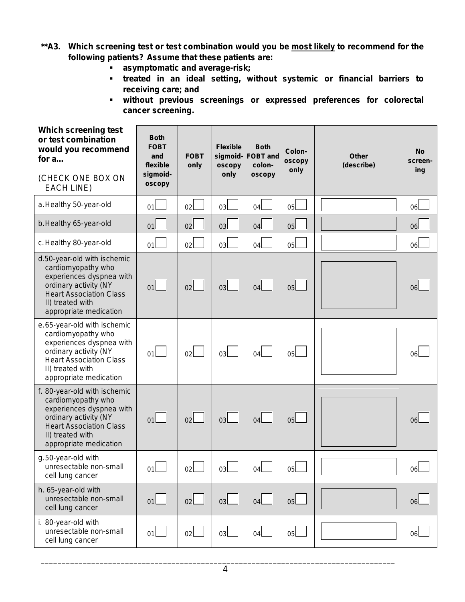- **\*\*A3. Which screening test or test combination would you be most likely to recommend for the following patients? Assume that these patients are:**
	- **asymptomatic and average-risk;**
	- **treated in an ideal setting, without systemic or financial barriers to receiving care; and**
	- **without previous screenings or expressed preferences for colorectal cancer screening.**

| Which screening test<br>or test combination<br>would you recommend<br>for $a$<br>(CHECK ONE BOX ON<br><b>EACH LINE)</b>                                                                 | <b>Both</b><br><b>FOBT</b><br>and<br>flexible<br>sigmoid-<br>oscopy | <b>FOBT</b><br>only | <b>Flexible</b><br>sigmoid-<br>oscopy<br>only | <b>Both</b><br><b>FOBT</b> and<br>colon-<br><b>OSCODV</b> | Colon-<br>oscopy<br>only | <b>Other</b><br>(describe) | <b>No</b><br>screen-<br>ing |
|-----------------------------------------------------------------------------------------------------------------------------------------------------------------------------------------|---------------------------------------------------------------------|---------------------|-----------------------------------------------|-----------------------------------------------------------|--------------------------|----------------------------|-----------------------------|
| a. Healthy 50-year-old                                                                                                                                                                  | 01                                                                  | 02                  | 03 <sub>l</sub>                               | 04                                                        | 0 <sub>5</sub>           |                            | 06                          |
| b. Healthy 65-year-old                                                                                                                                                                  | 01                                                                  | 02                  | 03 <sub>l</sub>                               | 04                                                        | 05                       |                            | 06                          |
| c. Healthy 80-year-old                                                                                                                                                                  | 01                                                                  | 02l                 | 03 <sub>l</sub>                               | 04l                                                       | 0 <sub>5</sub>           |                            | 06l                         |
| d.50-year-old with ischemic<br>cardiomyopathy who<br>experiences dyspnea with<br>ordinary activity (NY<br><b>Heart Association Class</b><br>II) treated with<br>appropriate medication  | 01                                                                  | 02                  | 03 <sub>l</sub>                               | 04                                                        | 0 <sub>5</sub>           |                            | 06                          |
| e.65-year-old with ischemic<br>cardiomyopathy who<br>experiences dyspnea with<br>ordinary activity (NY<br><b>Heart Association Class</b><br>II) treated with<br>appropriate medication  | 01                                                                  | 02 <sub>l</sub>     | 03 <sub>l</sub>                               | 04l                                                       | 0 <sub>5</sub>           |                            | 06                          |
| f. 80-year-old with ischemic<br>cardiomyopathy who<br>experiences dyspnea with<br>ordinary activity (NY<br><b>Heart Association Class</b><br>II) treated with<br>appropriate medication | 01                                                                  | 02 <sub>2</sub>     | 0 <sub>3</sub>                                | 04                                                        | 0 <sub>5</sub>           |                            | 06                          |
| g.50-year-old with<br>unresectable non-small<br>cell lung cancer                                                                                                                        | 01 <sub>2</sub>                                                     | 02 <sub>2</sub>     | 03L                                           | 04 <sub>2</sub>                                           | 05L                      |                            | 06L                         |
| h. 65-year-old with<br>unresectable non-small<br>cell lung cancer                                                                                                                       | 01                                                                  | 02                  | 03                                            | 04                                                        | 05                       |                            | 06L                         |
| i. 80-year-old with<br>unresectable non-small<br>cell lung cancer                                                                                                                       | 01                                                                  | 02                  | 03                                            | 04                                                        | 05L                      |                            | 06                          |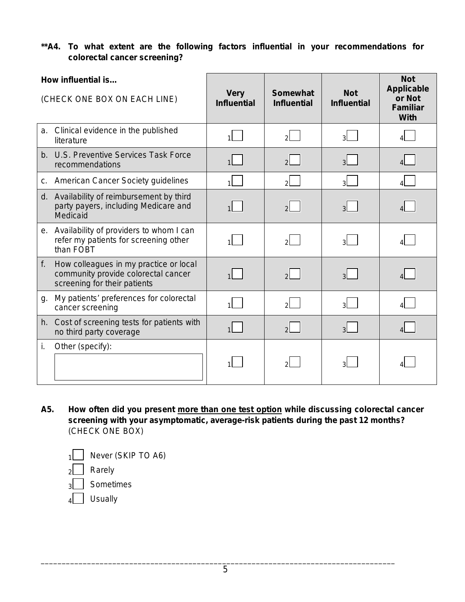### **\*\*A4. To what extent are the following factors influential in your recommendations for colorectal cancer screening?**

|                              | How influential is                                                                                            |                                   |                                       |                                  | <b>Not</b><br><b>Applicable</b>          |
|------------------------------|---------------------------------------------------------------------------------------------------------------|-----------------------------------|---------------------------------------|----------------------------------|------------------------------------------|
| (CHECK ONE BOX ON EACH LINE) |                                                                                                               | <b>Very</b><br><b>Influential</b> | <b>Somewhat</b><br><b>Influential</b> | <b>Not</b><br><b>Influential</b> | or Not<br><b>Familiar</b><br><b>With</b> |
| a.                           | Clinical evidence in the published<br>literature                                                              |                                   | $\mathcal{P}$                         | $\mathbf{a}$                     |                                          |
|                              | b. U.S. Preventive Services Task Force<br>recommendations                                                     |                                   | $\overline{2}$                        | $\overline{3}$                   |                                          |
| C.                           | <b>American Cancer Society guidelines</b>                                                                     | 1 <sup>1</sup>                    | $\mathcal{P}$                         | $\overline{3}$                   | $\Delta$                                 |
|                              | d. Availability of reimbursement by third<br>party payers, including Medicare and<br>Medicaid                 |                                   | $\mathcal{P}$                         | $\mathbf{R}$                     |                                          |
|                              | e. Availability of providers to whom I can<br>refer my patients for screening other<br>than FOBT              |                                   | 2l                                    | зI                               |                                          |
| f.                           | How colleagues in my practice or local<br>community provide colorectal cancer<br>screening for their patients |                                   | $\overline{2}$                        | $\overline{3}$                   |                                          |
| g.                           | My patients' preferences for colorectal<br>cancer screening                                                   |                                   | $\mathcal{P}$                         | $\overline{3}$                   |                                          |
|                              | h. Cost of screening tests for patients with<br>no third party coverage                                       |                                   | $\mathcal{P}$                         | $\overline{3}$                   |                                          |
| i.                           | Other (specify):                                                                                              |                                   | $\mathcal{D}$                         | зΙ                               |                                          |

**A5. How often did you present more than one test option while discussing colorectal cancer screening with your asymptomatic, average-risk patients during the past 12 months?**  (CHECK ONE BOX)

|  |  | $1$ Never (SKIP TO A6) |  |
|--|--|------------------------|--|
|--|--|------------------------|--|

 $2$  Rarely

 $_3$  | Sometimes

 $4$  Usually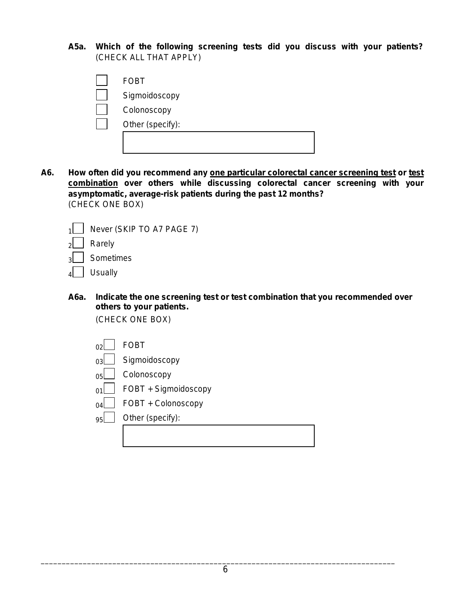**A5a. Which of the following screening tests did you discuss with your patients?**  (CHECK ALL THAT APPLY)

| <b>FOBT</b>      |
|------------------|
| Sigmoidoscopy    |
| Colonoscopy      |
| Other (specify): |
|                  |
|                  |

**A6. How often did you recommend any one particular colorectal cancer screening test or test combination over others while discussing colorectal cancer screening with your asymptomatic, average-risk patients during the past 12 months?** (CHECK ONE BOX)



**A6a. Indicate the one screening test or test combination that you recommended over others to your patients.** 

(CHECK ONE BOX)

|        | <b>FOBT</b>          |
|--------|----------------------|
| ∩٩     | Sigmoidoscopy        |
| 0디     | Colonoscopy          |
|        | FOBT + Sigmoidoscopy |
| $\cap$ | FOBT + Colonoscopy   |
| 95     | Other (specify):     |
|        |                      |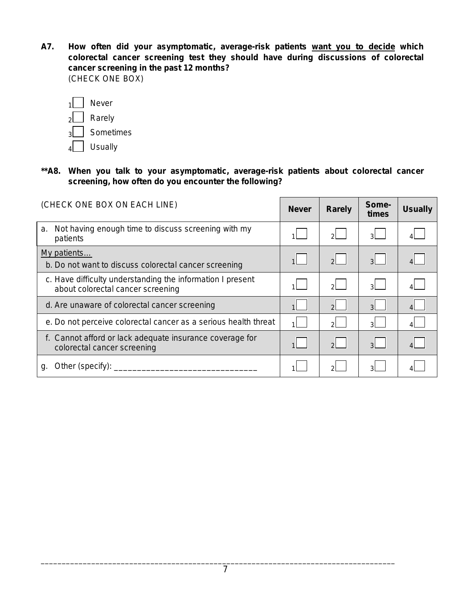**A7. How often did your asymptomatic, average-risk patients want you to decide which colorectal cancer screening test they should have during discussions of colorectal cancer screening in the past 12 months?**  (CHECK ONE BOX)

|   | Never     |
|---|-----------|
| っ | Rarely    |
| b | Sometimes |
|   | Usually   |

**\*\*A8. When you talk to your asymptomatic, average-risk patients about colorectal cancer screening, how often do you encounter the following?**

| (CHECK ONE BOX ON EACH LINE)                                                                    | <b>Never</b> | <b>Rarely</b>  | Some-<br>times | <b>Usually</b> |
|-------------------------------------------------------------------------------------------------|--------------|----------------|----------------|----------------|
| Not having enough time to discuss screening with my<br>a.<br>patients                           |              | $\mathcal{P}$  | зL.            |                |
| My patients<br>b. Do not want to discuss colorectal cancer screening                            |              | $\overline{2}$ | $3^{\dagger}$  |                |
| c. Have difficulty understanding the information I present<br>about colorectal cancer screening |              | $\mathcal{P}$  | 3 <sup>1</sup> |                |
| d. Are unaware of colorectal cancer screening                                                   |              | $\overline{2}$ | $\overline{3}$ |                |
| e. Do not perceive colorectal cancer as a serious health threat                                 |              | $2^{\vert}$    | зI             | $\overline{4}$ |
| f. Cannot afford or lack adequate insurance coverage for<br>colorectal cancer screening         |              | $\mathcal{D}$  | $\mathbf{R}$   |                |
| Other (specify): _____<br>q.                                                                    |              | $\mathcal{D}$  | વ્રા           |                |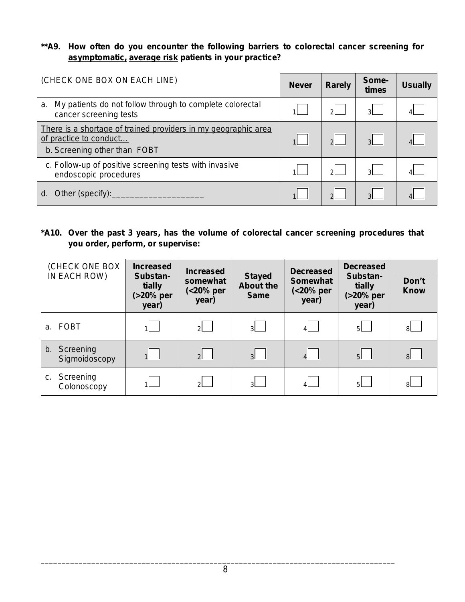**\*\*A9. How often do you encounter the following barriers to colorectal cancer screening for asymptomatic, average risk patients in your practice?**

| (CHECK ONE BOX ON EACH LINE)                                                                                             | <b>Never</b> | <b>Rarely</b> | Some-<br>times | <b>Usually</b> |
|--------------------------------------------------------------------------------------------------------------------------|--------------|---------------|----------------|----------------|
| My patients do not follow through to complete colorectal<br>a.<br>cancer screening tests                                 |              |               | $\mathcal{A}$  |                |
| There is a shortage of trained providers in my geographic area<br>of practice to conduct<br>b. Screening other than FOBT |              | $\mathcal{P}$ | $\mathcal{R}$  |                |
| c. Follow-up of positive screening tests with invasive<br>endoscopic procedures                                          |              |               | зI             |                |
| Other (specify):<br>d.                                                                                                   |              |               | $\mathcal{R}$  |                |

**\*A10. Over the past 3 years, has the volume of colorectal cancer screening procedures that you order, perform, or supervise:** 

| (CHECK ONE BOX<br>IN EACH ROW) | <b>Increased</b><br>Substan-<br>tially<br>(>20% per<br>year) | <b>Increased</b><br>somewhat<br>(<20% per<br>year) | <b>Stayed</b><br><b>About the</b><br><b>Same</b> | <b>Decreased</b><br><b>Somewhat</b><br>(<20% per<br>year) | <b>Decreased</b><br>Substan-<br>tially<br>(>20% per<br>year) | Don't<br><b>Know</b> |
|--------------------------------|--------------------------------------------------------------|----------------------------------------------------|--------------------------------------------------|-----------------------------------------------------------|--------------------------------------------------------------|----------------------|
| a. FOBT                        |                                                              | 2                                                  | 3 <sup>1</sup>                                   | $\mathbf{4}$                                              | 5 <sup>1</sup>                                               | 8                    |
| b. Screening<br>Sigmoidoscopy  | 1                                                            | $2^{\vert}$                                        | 3 <sup>1</sup>                                   | $\vert$ 4 $\vert$                                         | 5                                                            | 8                    |
| c. Screening<br>Colonoscopy    |                                                              | $2^{\vert}$                                        | 3 <sup>1</sup>                                   | $\mathbf{4}$                                              | 5 <sup>1</sup>                                               | 8L.                  |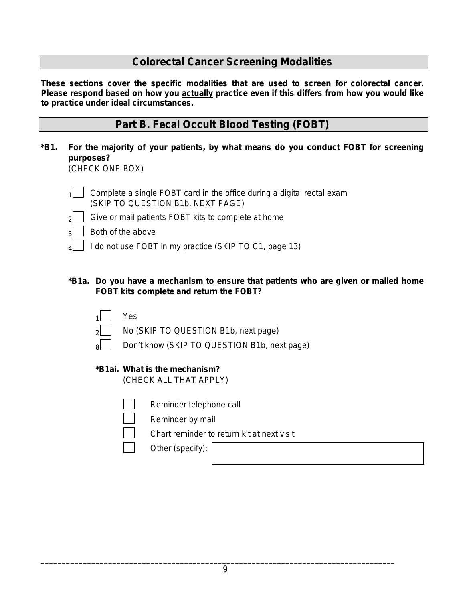# **Colorectal Cancer Screening Modalities**

*These sections cover the specific modalities that are used to screen for colorectal cancer. Please respond based on how you actually practice even if this differs from how you would like to practice under ideal circumstances.*

## **Part B. Fecal Occult Blood Testing (FOBT)**

**\*B1. For the majority of your patients, by what means do you conduct FOBT for screening purposes?**

(CHECK ONE BOX)

- $1 \mid$  Complete a single FOBT card in the office during a digital rectal exam (SKIP TO QUESTION B1b, NEXT PAGE)
- $2$  Give or mail patients FOBT kits to complete at home
- 3 Both of the above
- $_4$  | I do not use FOBT in my practice (SKIP TO C1, page 13)
- **\*B1a. Do you have a mechanism to ensure that patients who are given or mailed home FOBT kits complete and return the FOBT?**
	- Yes. 2 No (SKIP TO QUESTION B1b, next page) Don't know (SKIP TO QUESTION B1b, next page)

### **\*B1ai. What is the mechanism?**

(CHECK ALL THAT APPLY)

- 
- Reminder telephone call
- Reminder by mail
- Chart reminder to return kit at next visit
- Other *(specify)*: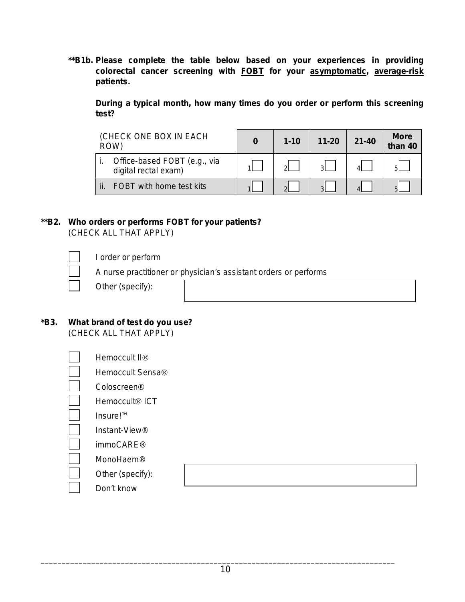**\*\*B1b. Please complete the table below based on your experiences in providing colorectal cancer screening with FOBT for your asymptomatic, average-risk patients.** 

**During a typical month, how many times do you order or perform this screening test?** 

| (CHECK ONE BOX IN EACH<br>ROW) |                                                      | $1 - 10$ | $11 - 20$ | $21 - 40$ | <b>More</b><br>than 40 |
|--------------------------------|------------------------------------------------------|----------|-----------|-----------|------------------------|
|                                | Office-based FOBT (e.g., via<br>digital rectal exam) | പ        |           |           |                        |
|                                | FOBT with home test kits                             |          |           |           |                        |

### **\*\*B2. Who orders or performs FOBT for your patients?** (CHECK ALL THAT APPLY)

I order or perform

A nurse practitioner or physician's assistant orders or performs

### **\*B3. What brand of test do you use?**  (CHECK ALL THAT APPLY)

| Hemoccult II <sup>®</sup>  |  |
|----------------------------|--|
| Hemoccult Sensa®           |  |
| Coloscreen <sup>®</sup>    |  |
| Hemoccult <sup>®</sup> ICT |  |
| Insure! <sup>TM</sup>      |  |
| Instant-View®              |  |
| immoCARE <sup>®</sup>      |  |
| MonoHaem®                  |  |
| Other (specify):           |  |
| Don't know                 |  |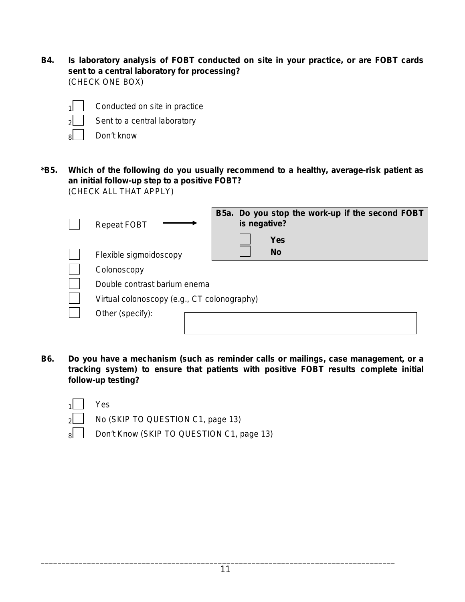**B4. Is laboratory analysis of FOBT conducted on site in your practice, or are FOBT cards sent to a central laboratory for processing?**  (CHECK ONE BOX)

| Condu |
|-------|
|       |

icted on site in practice

- $2$  Sent to a central laboratory
- $\overline{8}$  Don't know
- **\*B5. Which of the following do you usually recommend to a healthy, average-risk patient as an initial follow-up step to a positive FOBT?**  (CHECK ALL THAT APPLY)

| <b>Repeat FOBT</b>                          | B5a. Do you stop the work-up if the second FOBT<br>is negative? |
|---------------------------------------------|-----------------------------------------------------------------|
|                                             | <b>Yes</b>                                                      |
| Flexible sigmoidoscopy                      | <b>No</b>                                                       |
| Colonoscopy                                 |                                                                 |
| Double contrast barium enema                |                                                                 |
| Virtual colonoscopy (e.g., CT colonography) |                                                                 |
| Other (specify):                            |                                                                 |
|                                             |                                                                 |

**B6. Do you have a mechanism (such as reminder calls or mailings, case management, or a tracking system) to ensure that patients with positive FOBT results complete initial follow-up testing?**

| 1 | Yes                  |  |  |
|---|----------------------|--|--|
| , | No.<br>$\mathcal{L}$ |  |  |

 $2$  No (SKIP TO QUESTION C1, page 13)

8 Don't Know (SKIP TO QUESTION C1, page 13)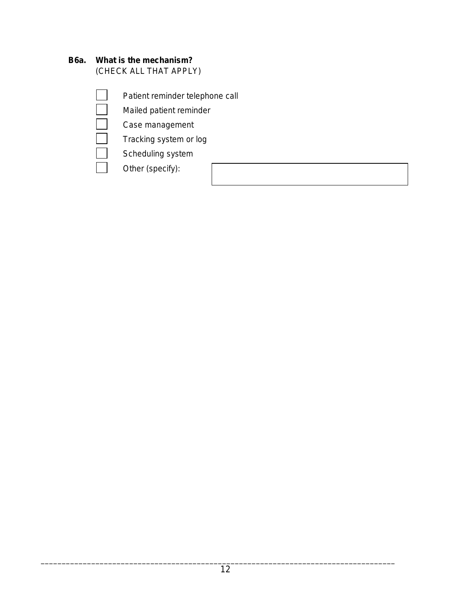## **B6a. What is the mechanism?**

(CHECK ALL THAT APPLY)

- Patient reminder telephone call
- Mailed patient reminder
- Case management
- Tracking system or log
- Scheduling system
- Other *(specify)*: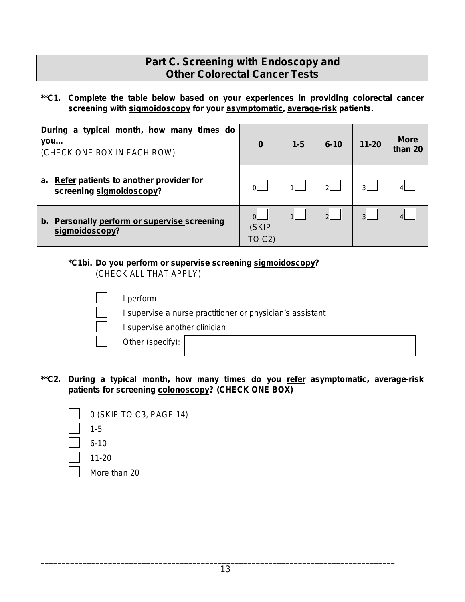# **Part C. Screening with Endoscopy and Other Colorectal Cancer Tests**

**\*\*C1. Complete the table below based on your experiences in providing colorectal cancer screening with sigmoidoscopy for your asymptomatic, average-risk patients.** 

| During a typical month, how many times do<br>you<br>(CHECK ONE BOX IN EACH ROW) | 0                           | $1 - 5$      | $6 - 10$       | $11 - 20$      | <b>More</b><br>than 20 |
|---------------------------------------------------------------------------------|-----------------------------|--------------|----------------|----------------|------------------------|
| a. Refer patients to another provider for<br>screening sigmoidoscopy?           | ΩI                          |              | ୵୲             | લ              |                        |
| b. Personally perform or supervise screening<br>sigmoidoscopy?                  | $\Omega$<br>(SKIP<br>TO C2) | $\mathbf{1}$ | $\overline{2}$ | $\overline{3}$ |                        |

# **\*C1bi. Do you perform or supervise screening sigmoidoscopy ?**

(CHECK ALL THAT APPLY)

| perform                                                   |  |
|-----------------------------------------------------------|--|
| I supervise a nurse practitioner or physician's assistant |  |
| I supervise another clinician                             |  |
| Other (specify):                                          |  |
|                                                           |  |

**\*\*C2. During a typical month, how many times do you refer asymptomatic, average-risk patients for screening colonoscopy? (CHECK ONE BOX)** 

| 0 (SKIP TO C3, PAGE 14) |
|-------------------------|
| $1 - 5$                 |
| $6 - 10$                |
| $11 - 20$               |
| More than 20            |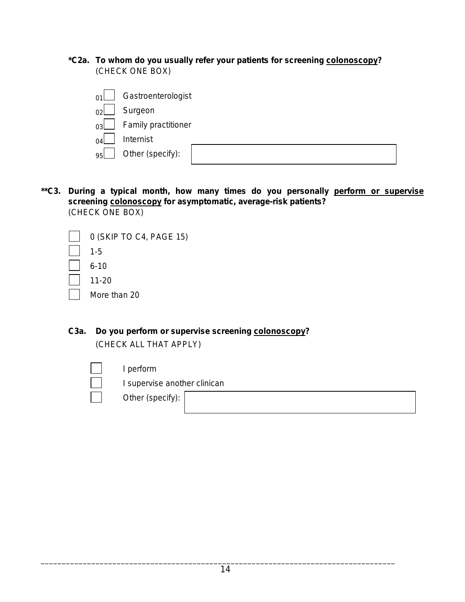**\*C2a. To whom do you usually refer your patients for screening colonoscopy ?** (CHECK ONE BOX)

| 01         | Gastroenterologist  |  |
|------------|---------------------|--|
| $\gamma$ 2 | Surgeon             |  |
| $\alpha$   | Family practitioner |  |
| $\Omega$ 4 | Internist           |  |
| 95         | Other (specify):    |  |
|            |                     |  |

**\*\*C3. During a typical month, how many times do you personally perform or supervise screening colonoscopy for asymptomatic, average-risk patients?**  (CHECK ONE BOX)

| 0 (SKIP TO C4, PAGE 15) |
|-------------------------|
| $1 - 5$                 |
| 6-10                    |
| $11 - 20$               |
| More than 20            |
|                         |

**C3a. Do you perform or supervise screening colonoscopy ?** (CHECK ALL THAT APPLY)

I perform

I supervise another clinican

Other *(specify)*: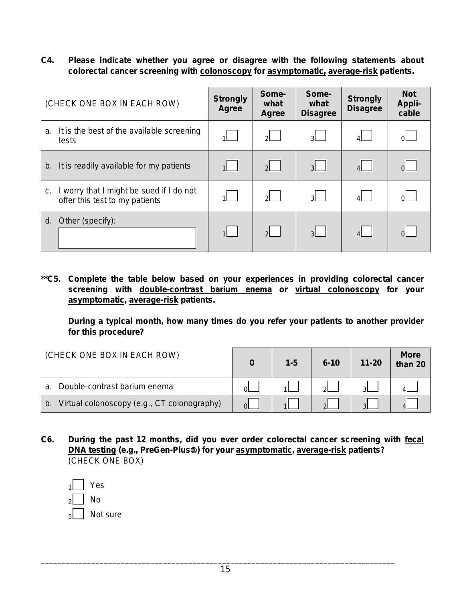**C4. Please indicate whether you agree or disagree with the following statements about colorectal cancer screening with colonoscopy for asymptomatic, average-risk patients.** 

| (CHECK ONE BOX IN EACH ROW)                                                    | <b>Strongly</b><br><b>Agree</b> | Some-<br>what<br><b>Agree</b> | Some-<br>what<br><b>Disagree</b> | <b>Strongly</b><br><b>Disagree</b> | <b>Not</b><br><b>Appli-</b><br>cable |
|--------------------------------------------------------------------------------|---------------------------------|-------------------------------|----------------------------------|------------------------------------|--------------------------------------|
| It is the best of the available screening<br>a.<br>tests                       | 1                               | 키 -                           | 3I -                             |                                    | ΩL                                   |
| It is readily available for my patients<br>b.                                  | $\overline{1}$                  | $\mathcal{P}$                 | 3                                | $\overline{4}$                     |                                      |
| worry that I might be sued if I do not<br>c.<br>offer this test to my patients |                                 | 2                             | 3I -                             | $\vert$                            | <u>nl</u>                            |
| Other (specify):<br>d.                                                         | $\overline{1}$                  | 2                             | 3 <sup>1</sup>                   |                                    | 0L.                                  |

**\*\*C5. Complete the table below based on your experiences in providing colorectal cancer screening with double-contrast barium enema or virtual colonoscopy for your asymptomatic, average-risk patients.** 

**During a typical month, how many times do you refer your patients to another provider for this procedure?**

| (CHECK ONE BOX IN EACH ROW)                       | 0        | $1 - 5$ | $6 - 10$ | $11 - 20$    | <b>More</b><br>than $20$ |
|---------------------------------------------------|----------|---------|----------|--------------|--------------------------|
| Double-contrast barium enema<br>$\mathbf{a}$      | $\Omega$ |         | ച        |              |                          |
| Virtual colonoscopy (e.g., CT colonography)<br>b. | $\Omega$ |         |          | $\mathbf{R}$ |                          |

**C6. During the past 12 months, did you ever order colorectal cancer screening with fecal DNA testing (***e.g***., PreGen-Plus) for your asymptomatic, average-risk patients?**  (CHECK ONE BOX)

| 1              | Yes      |
|----------------|----------|
| $\overline{2}$ | N٥       |
| اء             | Not sure |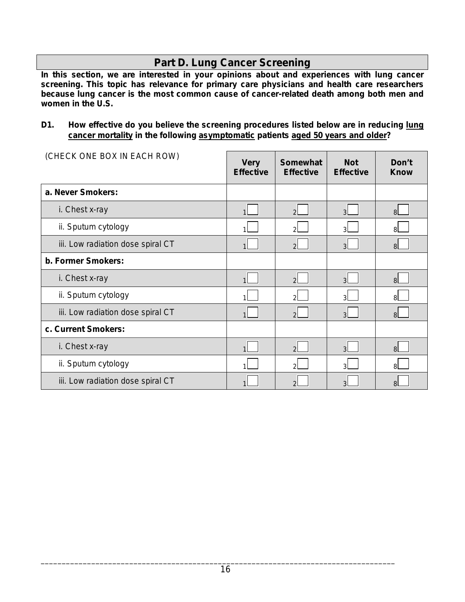# **Part D. Lung Cancer Screening**

*In this section, we are interested in your opinions about and experiences with lung cancer screening. This topic has relevance for primary care physicians and health care researchers because lung cancer is the most common cause of cancer-related death among both men and women in the U.S.*

### **D1. How effective do you believe the screening procedures listed below are in reducing lung cancer mortality in the following asymptomatic patients aged 50 years and older?**

| (CHECK ONE BOX IN EACH ROW)       | <b>Very</b><br><b>Effective</b> | <b>Somewhat</b><br><b>Effective</b> | <b>Not</b><br><b>Effective</b> | Don't<br><b>Know</b> |
|-----------------------------------|---------------------------------|-------------------------------------|--------------------------------|----------------------|
| a. Never Smokers:                 |                                 |                                     |                                |                      |
| i. Chest x-ray                    |                                 | $\overline{2}$                      | 3                              | $\mathsf{B}$         |
| ii. Sputum cytology               |                                 | っ                                   | З                              | 8l                   |
| iii. Low radiation dose spiral CT |                                 | $\overline{2}$                      | 3                              | 8 <sup>1</sup>       |
| b. Former Smokers:                |                                 |                                     |                                |                      |
| i. Chest x-ray                    |                                 | $\mathcal{P}$                       | 3                              | $\mathsf{B}$         |
| ii. Sputum cytology               |                                 | っ                                   | વ                              | 8l                   |
| iii. Low radiation dose spiral CT |                                 | $\overline{2}$                      | $\mathbf{R}$                   | 8l                   |
| c. Current Smokers:               |                                 |                                     |                                |                      |
| i. Chest x-ray                    |                                 | $\overline{2}$                      | 3                              | $\mathsf{B}$         |
| ii. Sputum cytology               |                                 |                                     |                                | 8l                   |
| iii. Low radiation dose spiral CT |                                 |                                     |                                | 8                    |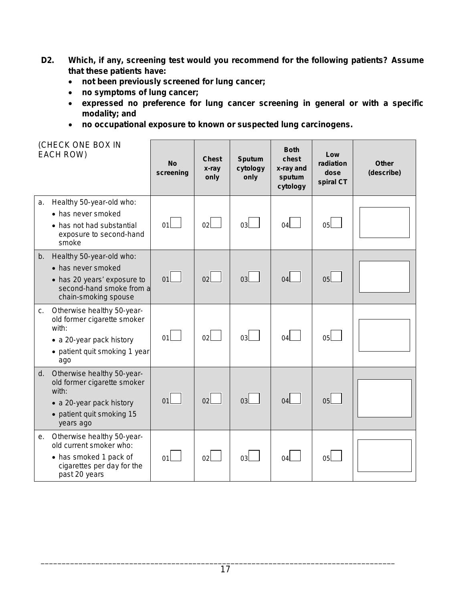- **D2. Which, if any, screening test would you recommend for the following patients? Assume that these patients have:** 
	- **not been previously screened for lung cancer;**
	- **no symptoms of lung cancer;**
	- **expressed no preference for lung cancer screening in general or with a specific modality; and**
	- **no occupational exposure to known or suspected lung carcinogens.**

|    | (CHECK ONE BOX IN<br>EACH ROW)                                                                                                              | <b>No</b><br>screening | <b>Chest</b><br>x-ray<br>only | <b>Sputum</b><br>cytology<br>only | <b>Both</b><br>chest<br>x-ray and<br>sputum<br>cytology | Low<br>radiation<br>dose<br>spiral CT | <b>Other</b><br>(describe) |
|----|---------------------------------------------------------------------------------------------------------------------------------------------|------------------------|-------------------------------|-----------------------------------|---------------------------------------------------------|---------------------------------------|----------------------------|
| a. | Healthy 50-year-old who:<br>• has never smoked<br>• has not had substantial<br>exposure to second-hand<br>smoke                             | 01                     | 02 <sup>1</sup>               | 03                                | 04l                                                     | 05l                                   |                            |
|    | b. Healthy 50-year-old who:<br>• has never smoked<br>• has 20 years' exposure to<br>second-hand smoke from a<br>chain-smoking spouse        | 01                     | 02                            | 03                                | 04                                                      | 0 <sub>5</sub>                        |                            |
|    | c. Otherwise healthy 50-year-<br>old former cigarette smoker<br>with:<br>• a 20-year pack history<br>• patient quit smoking 1 year<br>ago   | 01                     | 02 <sub>2</sub>               | 03                                | 04                                                      | 05 <sub>L</sub>                       |                            |
|    | d. Otherwise healthy 50-year-<br>old former cigarette smoker<br>with:<br>• a 20-year pack history<br>• patient quit smoking 15<br>years ago | 01                     | 02                            | 03                                | 04                                                      | 05                                    |                            |
| е. | Otherwise healthy 50-year-<br>old current smoker who:<br>• has smoked 1 pack of<br>cigarettes per day for the<br>past 20 years              | 01                     | 02 <sub>l</sub>               | 03                                | 04l                                                     | 05l                                   |                            |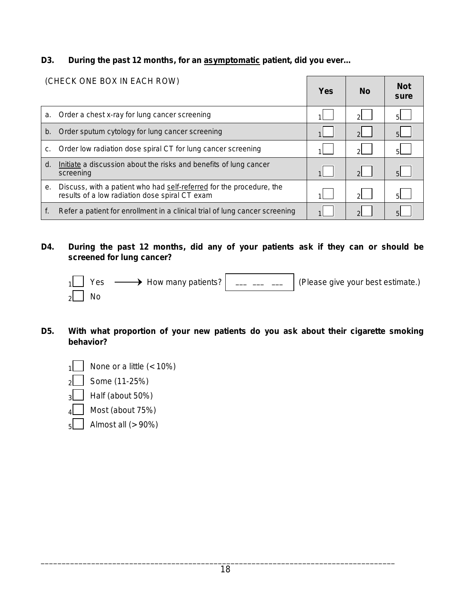**D3. During the past 12 months, for an asymptomatic patient, did you ever…**

|    | (CHECK ONE BOX IN EACH ROW)                                                                                            | <b>Yes</b>     | <b>No</b>     | <b>Not</b><br>sure |
|----|------------------------------------------------------------------------------------------------------------------------|----------------|---------------|--------------------|
| a. | Order a chest x-ray for lung cancer screening                                                                          |                | $\mathcal{D}$ | 51                 |
| b. | Order sputum cytology for lung cancer screening                                                                        | $\overline{1}$ | $\mathcal{P}$ | 5 <sup>1</sup>     |
| c. | Order low radiation dose spiral CT for lung cancer screening                                                           |                | $\mathcal{D}$ | 51                 |
| d. | Initiate a discussion about the risks and benefits of lung cancer<br>screening                                         |                | $\mathcal{D}$ |                    |
| е. | Discuss, with a patient who had self-referred for the procedure, the<br>results of a low radiation dose spiral CT exam |                | ΩL            | 51                 |
|    | Refer a patient for enrollment in a clinical trial of lung cancer screening                                            |                |               |                    |

### **D4. During the past 12 months, did any of your patients ask if they can or should be screened for lung cancer?**

|                   |  | $_1$   Yes $\longrightarrow$ How many patients? $\mid$ __ __ __   (Please give your best estimate.) |
|-------------------|--|-----------------------------------------------------------------------------------------------------|
| $\overline{2}$ No |  |                                                                                                     |

- **D5. With what proportion of your new patients do you ask about their cigarette smoking behavior?** 
	- $\sqrt{1}$  None or a little (< 10%)
	- $2$  Some (11-25%)
	- 3 Half (about 50%)
	- $\overline{4}$  Most (about 75%)
	- $\overline{5}$  Almost all (> 90%)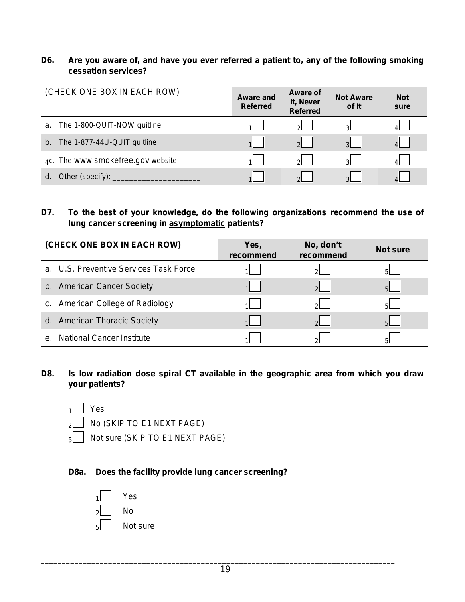### **D6. Are you aware of, and have you ever referred a patient to, any of the following smoking cessation services?**

| (CHECK ONE BOX IN EACH ROW)            | <b>Aware and</b><br><b>Referred</b> | Aware of<br>It, Never<br><b>Referred</b> | <b>Not Aware</b><br>of It | <b>Not</b><br>sure |
|----------------------------------------|-------------------------------------|------------------------------------------|---------------------------|--------------------|
| a. The 1-800-QUIT-NOW quitline         |                                     | $2^{\mid}$                               | વા                        |                    |
| The 1-877-44U-QUIT quitline<br>$b_{-}$ |                                     | $\mathcal{P}$                            | $\mathbf{R}$              |                    |
| 4c. The www.smokefree.gov website      |                                     | $\mathcal{D}$                            | વા                        |                    |
| d.                                     |                                     | $\mathcal{D}$                            |                           |                    |

### **D7. To the best of your knowledge, do the following organizations recommend the use of lung cancer screening in asymptomatic patients?**

| (CHECK ONE BOX IN EACH ROW)                    | Yes,<br>recommend | No, don't<br>recommend | <b>Not sure</b> |
|------------------------------------------------|-------------------|------------------------|-----------------|
| a. U.S. Preventive Services Task Force         |                   | ി                      |                 |
| b. American Cancer Society                     |                   | ◠                      |                 |
| c. American College of Radiology               |                   | ി                      |                 |
| d. American Thoracic Society                   |                   |                        |                 |
| <b>National Cancer Institute</b><br>$\theta$ . |                   |                        |                 |

### **D8. Is low radiation dose spiral CT available in the geographic area from which you draw your patients?**



 $2$  No (SKIP TO E1 NEXT PAGE)

 $_5$  Not sure (SKIP TO E1 NEXT PAGE)

### **D8a. Does the facility provide lung cancer screening?**

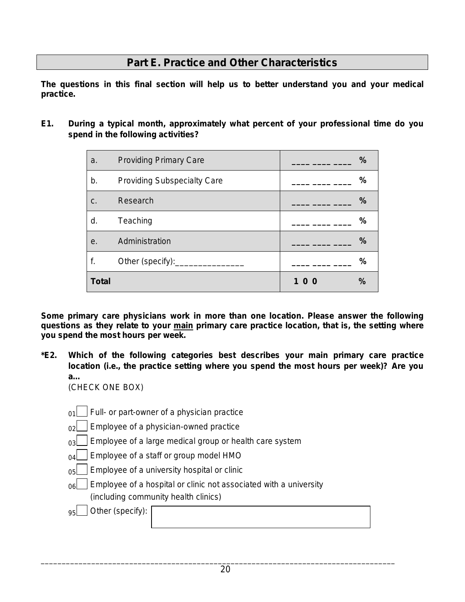# **Part E. Practice and Other Characteristics**

*The questions in this final section will help us to better understand you and your medical practice.* 

**E1. During a typical month, approximately what percent of your professional time do you spend in the following activities?** 

| a.           | <b>Providing Primary Care</b>      | $\frac{9}{6}$        |
|--------------|------------------------------------|----------------------|
| b.           | <b>Providing Subspecialty Care</b> | %                    |
| C.           | Research                           | $\frac{0}{0}$        |
| d.           | Teaching                           | $\frac{0}{0}$        |
| е.           | Administration                     | %                    |
| f.           | Other (specify):______             | $\frac{0}{0}$        |
| <b>Total</b> |                                    | $\frac{9}{6}$<br>100 |

*Some primary care physicians work in more than one location. Please answer the following questions as they relate to your main primary care practice location, that is, the setting where you spend the most hours per week.*

**\*E2. Which of the following categories best describes your main primary care practice location (***i.e.,* **the practice setting where you spend the most hours per week)? Are you a…** 

(CHECK ONE BOX)

- $_{01}$  | Full- or part-owner of a physician practice
- $_{02}$  Employee of a physician-owned practice
- $_{03}$  | Employee of a large medical group or health care system
- $_{04}$  Employee of a staff or group model HMO
- $_{05}$  | Employee of a university hospital or clinic
- $_{06}$  | Employee of a hospital or clinic not associated with a university (including community health clinics)

95 Other *(specify)*: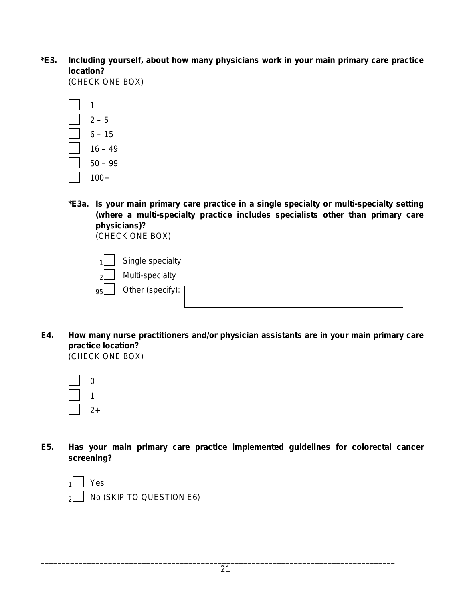**\*E3. Including yourself, about how many physicians work in your main primary care practice location?** 

(CHECK ONE BOX)

- 1  $2 - 5$  $6 - 15$  $16 - 49$ 50 – 99 100+
- **\*E3a. Is your main primary care practice in a single specialty or multi-specialty setting (where a multi-specialty practice includes specialists other than primary care physicians)?**

(CHECK ONE BOX)

 $1$  Single specialty

 $2$  Multi-specialty



**E4. How many nurse practitioners and/or physician assistants are in your main primary care practice location?**  (CHECK ONE BOX)

| 1  |
|----|
| 2+ |

**E5. Has your main primary care practice implemented guidelines for colorectal cancer screening?** 

| $\sqrt{1}$ Yes                |
|-------------------------------|
| $_2$ No (SKIP TO QUESTION E6) |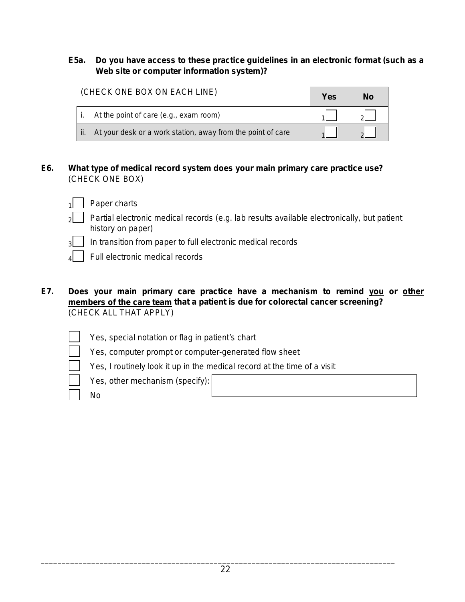### **E5a. Do you have access to these practice guidelines in an electronic format (such as a Web site or computer information system)?**

| (CHECK ONE BOX ON EACH LINE)                                         |  | No |
|----------------------------------------------------------------------|--|----|
| At the point of care (e.g., exam room)                               |  |    |
| At your desk or a work station, away from the point of care<br>l ii. |  |    |

- **E6. What type of medical record system does your main primary care practice use?** (CHECK ONE BOX)
	- 1 Paper charts
	- 2 Partial electronic medical records (*e.g.* lab results available electronically, but patient history on paper)
	- $_3$  | In transition from paper to full electronic medical records
		- Full electronic medical records
- **E7. Does your main primary care practice have a mechanism to remind you or other members of the care team that a patient is due for colorectal cancer screening?**  (CHECK ALL THAT APPLY)
	- Yes, special notation or flag in patient's chart
	- Yes, computer prompt or computer-generated flow sheet
	- Yes, I routinely look it up in the medical record at the time of a visit
	- Yes, other mechanism *(specify)*:
	- No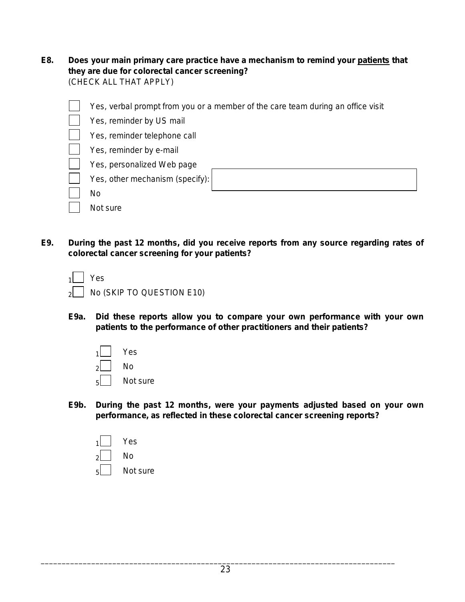**E8. Does your main primary care practice have a mechanism to remind your patients that they are due for colorectal cancer screening?** (CHECK ALL THAT APPLY)

| Yes, verbal prompt from you or a member of the care team during an office visit |
|---------------------------------------------------------------------------------|
| Yes, reminder by US mail                                                        |
| Yes, reminder telephone call                                                    |
| Yes, reminder by e-mail                                                         |
| Yes, personalized Web page                                                      |
| Yes, other mechanism (specify):                                                 |
| No                                                                              |
| Not sure                                                                        |

**E9. During the past 12 months, did you receive reports from any source regarding rates of colorectal cancer screening for your patients?**

| $\sqrt{1}$ Yes                 |
|--------------------------------|
| $_2$ No (SKIP TO QUESTION E10) |

**E9a. Did these reports allow you to compare your own performance with your own patients to the performance of other practitioners and their patients?**



**E9b. During the past 12 months, were your payments adjusted based on your own performance, as reflected in these colorectal cancer screening reports?**

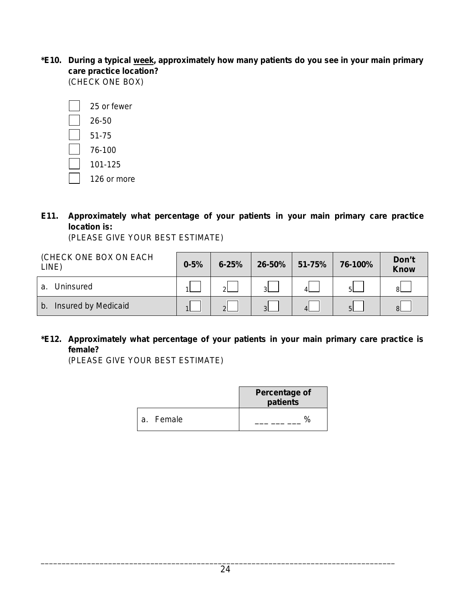\*E10. During a typical <u>week,</u> approximately how many patients do you see in your main primary **care practice location?** (CHECK ONE BOX)

| 25 or fewer |
|-------------|
| 26-50       |
| 51-75       |
| 76-100      |
| 101-125     |
| 126 or more |

**E11. Approximately what percentage of your patients in your main primary care practice location is:**

(PLEASE GIVE YOUR BEST ESTIMATE)

| (CHECK ONE BOX ON EACH<br>LINE) | $0 - 5%$ | $6 - 25%$     | 26-50%        | 51-75% | 76-100% | Don't<br><b>Know</b> |
|---------------------------------|----------|---------------|---------------|--------|---------|----------------------|
| Uninsured<br>a.                 |          | ച             | ્વા           |        | 5L      | -81 -                |
| Insured by Medicaid<br>b.       |          | $\mathcal{D}$ | $\mathcal{S}$ |        | 5       | 8I                   |

**\*E12. Approximately what percentage of your patients in your main primary care practice is female?**

(PLEASE GIVE YOUR BEST ESTIMATE)

|           | <b>Percentage of</b><br>patients |
|-----------|----------------------------------|
| a. Female | $\frac{1}{2}$                    |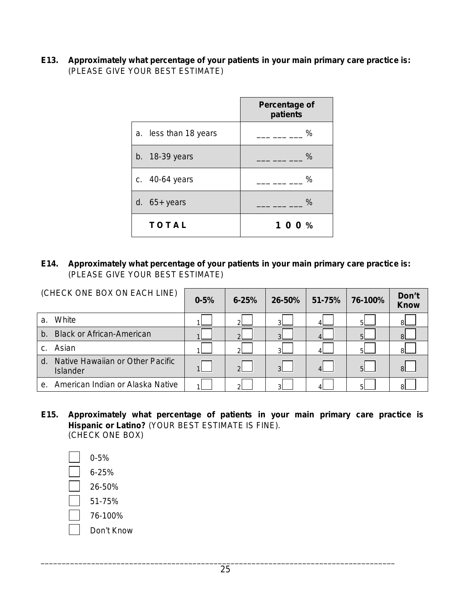**E13. Approximately what percentage of your patients in your main primary care practice is:** (PLEASE GIVE YOUR BEST ESTIMATE)

|                       | Percentage of<br>patients |
|-----------------------|---------------------------|
| a. less than 18 years | %                         |
| b. $18-39$ years      | $\%$                      |
| c. 40-64 years        | %                         |
| d. $65+$ years        | $\%$                      |
| <b>TOTAL</b>          | 1 0 0 %                   |

### **E14. Approximately what percentage of your patients in your main primary care practice is:**  (PLEASE GIVE YOUR BEST ESTIMATE)

| (CHECK ONE BOX ON EACH LINE)                            | $0 - 5%$ | $6 - 25%$     | 26-50%        | 51-75% | 76-100%        | Don't<br><b>Know</b> |
|---------------------------------------------------------|----------|---------------|---------------|--------|----------------|----------------------|
| White<br>a.                                             |          | $\mathcal{D}$ | ્રા           |        | 51             | 8L                   |
| <b>Black or African-American</b><br>b <sub>1</sub>      |          | $\mathcal{D}$ | $\mathcal{R}$ |        | $5 -$          | 8I                   |
| Asian<br>$C_{\cdot}$                                    |          | $\mathcal{D}$ | $\mathcal{R}$ |        | 51             | 8I                   |
| Native Hawaiian or Other Pacific<br>$d_{-}$<br>Islander |          | $\mathcal{D}$ | $\mathbf{R}$  |        | 5 <sup>1</sup> | 8I.                  |
| American Indian or Alaska Native<br>$e_{\cdot}$         |          | ി             | R             |        | ᄗ              | RΙ                   |

**E15. Approximately what percentage of patients in your main primary care practice is Hispanic or Latino?** (YOUR BEST ESTIMATE IS FINE). (CHECK ONE BOX)

 0-5% 6-25% 26-50% 51-75% 76-100% Don't Know